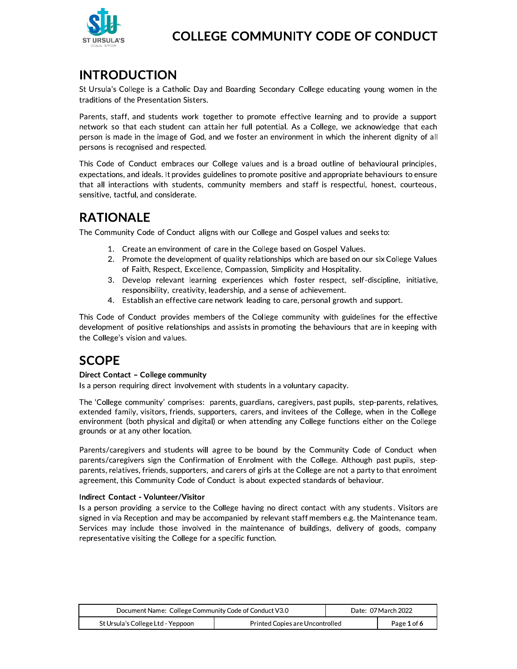

### **INTRODUCTION**

St Ursula's College is a Catholic Day and Boarding Secondary College educating young women in the traditions of the Presentation Sisters.

Parents, staff, and students work together to promote effective learning and to provide a support network so that each student can attain her full potential. As a College, we acknowledge that each person is made in the image of God, and we foster an environment in which the inherent dignity of all persons is recognised and respected.

This Code of Conduct embraces our College values and is a broad outline of behavioural principles, expectations, and ideals. It provides guidelines to promote positive and appropriate behaviours to ensure that all interactions with students, community members and staff is respectful, honest, courteous, sensitive, tactful, and considerate.

### **RATIONALE**

The Community Code of Conduct aligns with our College and Gospel values and seeks to:

- 1. Create an environment of care in the College based on Gospel Values.
- 2. Promote the development of quality relationships which are based on our six College Values of Faith, Respect, Excellence, Compassion, Simplicity and Hospitality.
- 3. Develop relevant learning experiences which foster respect, self-discipline, initiative, responsibility, creativity, leadership, and a sense of achievement.
- 4. Establish an effective care network leading to care, personal growth and support.

This Code of Conduct provides members of the College community with guidelines for the effective development of positive relationships and assists in promoting the behaviours that are in keeping with the College's vision and values.

## **SCOPE**

#### Direct Contact - College community

Is a person requiring direct involvement with students in a voluntary capacity.

The 'College community' comprises: parents, guardians, caregivers, past pupils, step-parents, relatives, extended family, visitors, friends, supporters, carers, and invitees of the College, when in the College environment (both physical and digital) or when attending any College functions either on the College grounds or at any other location.

Parents/caregivers and students will agree to be bound by the Community Code of Conduct when parents/caregivers sign the Confirmation of Enrolment with the College. Although past pupils, stepparents, relatives, friends, supporters, and carers of girls at the College are not a party to that enrolment agreement, this Community Code of Conduct is about expected standards of behaviour.

#### Indirect Contact - Volunteer/Visitor

Is a person providing a service to the College having no direct contact with any students. Visitors are signed in via Reception and may be accompanied by relevant staff members e.g. the Maintenance team. Services may include those involved in the maintenance of buildings, delivery of goods, company representative visiting the College for a specific function.

| Document Name: College Community Code of Conduct V3.0 |                                 | Date: 07 March 2022 |             |
|-------------------------------------------------------|---------------------------------|---------------------|-------------|
| St Ursula's College Ltd - Yeppoon                     | Printed Copies are Uncontrolled |                     | Page 1 of 6 |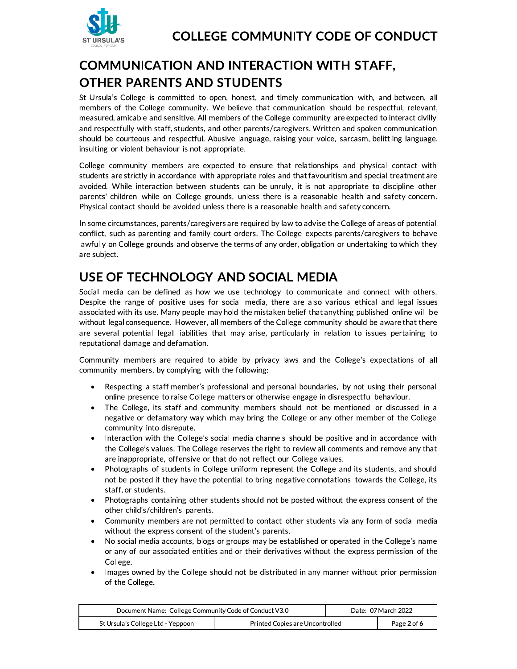

# **COMMUNICATION AND INTERACTION WITH STAFF, OTHER PARENTS AND STUDENTS**

St Ursula's College is committed to open, honest, and timely communication with, and between, all members of the College community. We believe that communication should be respectful, relevant, measured, amicable and sensitive. All members of the College community are expected to interact civilly and respectfully with staff, students, and other parents/caregivers. Written and spoken communication should be courteous and respectful. Abusive language, raising your voice, sarcasm, belittling language, insulting or violent behaviour is not appropriate.

College community members are expected to ensure that relationships and physical contact with students are strictly in accordance with appropriate roles and that favouritism and special treatment are avoided. While interaction between students can be unruly, it is not appropriate to discipline other parents' children while on College grounds, unless there is a reasonable health and safety concern. Physical contact should be avoided unless there is a reasonable health and safety concern.

In some circumstances, parents/caregivers are required by law to advise the College of areas of potential conflict, such as parenting and family court orders. The College expects parents/caregivers to behave lawfully on College grounds and observe the terms of any order, obligation or undertaking to which they are subject.

## USE OF TECHNOLOGY AND SOCIAL MEDIA

Social media can be defined as how we use technology to communicate and connect with others. Despite the range of positive uses for social media, there are also various ethical and legal issues associated with its use. Many people may hold the mistaken belief that anything published online will be without legal consequence. However, all members of the College community should be aware that there are several potential legal liabilities that may arise, particularly in relation to issues pertaining to reputational damage and defamation.

Community members are required to abide by privacy laws and the College's expectations of all community members, by complying with the following:

- Respecting a staff member's professional and personal boundaries, by not using their personal online presence to raise College matters or otherwise engage in disrespectful behaviour.
- The College, its staff and community members should not be mentioned or discussed in a negative or defamatory way which may bring the College or any other member of the College community into disrepute.
- Interaction with the College's social media channels should be positive and in accordance with the College's values. The College reserves the right to review all comments and remove any that are inappropriate, offensive or that do not reflect our College values.
- Photographs of students in College uniform represent the College and its students, and should not be posted if they have the potential to bring negative connotations towards the College, its staff, or students.
- Photographs containing other students should not be posted without the express consent of the other child's/children's parents.
- Community members are not permitted to contact other students via any form of social media  $\bullet$ without the express consent of the student's parents.
- No social media accounts, blogs or groups may be established or operated in the College's name or any of our associated entities and or their derivatives without the express permission of the College.
- Images owned by the College should not be distributed in any manner without prior permission of the College.

| Document Name: College Community Code of Conduct V3.0 |                                 | Date: 07 March 2022 |             |
|-------------------------------------------------------|---------------------------------|---------------------|-------------|
| St Ursula's College Ltd - Yeppoon                     | Printed Copies are Uncontrolled |                     | Page 2 of 6 |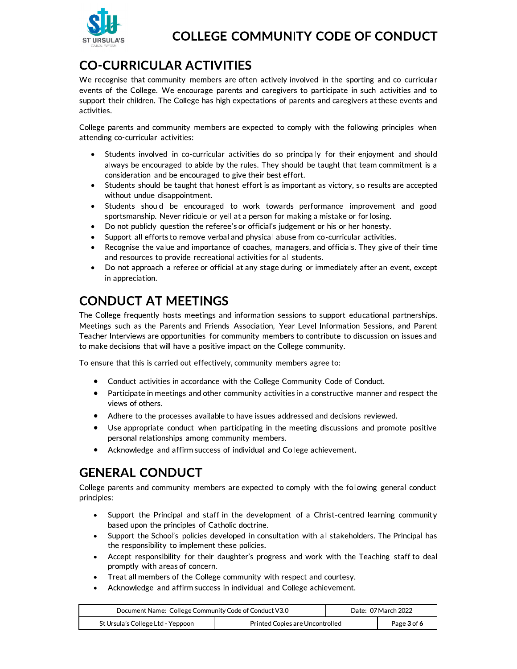

# **CO-CURRICULAR ACTIVITIES**

We recognise that community members are often actively involved in the sporting and co-curricular events of the College. We encourage parents and caregivers to participate in such activities and to support their children. The College has high expectations of parents and caregivers at these events and activities.

College parents and community members are expected to comply with the following principles when attending co-curricular activities:

- Students involved in co-curricular activities do so principally for their enjoyment and should always be encouraged to abide by the rules. They should be taught that team commitment is a consideration and be encouraged to give their best effort.
- Students should be taught that honest effort is as important as victory, so results are accepted without undue disappointment.
- Students should be encouraged to work towards performance improvement and good  $\bullet$ sportsmanship. Never ridicule or yell at a person for making a mistake or for losing.
- Do not publicly question the referee's or official's judgement or his or her honesty.
- Support all efforts to remove verbal and physical abuse from co-curricular activities.  $\bullet$
- Recognise the value and importance of coaches, managers, and officials. They give of their time and resources to provide recreational activities for all students.
- Do not approach a referee or official at any stage during or immediately after an event, except in appreciation.

## **CONDUCT AT MEETINGS**

The College frequently hosts meetings and information sessions to support educational partnerships. Meetings such as the Parents and Friends Association, Year Level Information Sessions, and Parent Teacher Interviews are opportunities for community members to contribute to discussion on issues and to make decisions that will have a positive impact on the College community.

To ensure that this is carried out effectively, community members agree to:

- Conduct activities in accordance with the College Community Code of Conduct.
- Participate in meetings and other community activities in a constructive manner and respect the  $\bullet$ views of others.
- Adhere to the processes available to have issues addressed and decisions reviewed.  $\bullet$
- Use appropriate conduct when participating in the meeting discussions and promote positive  $\bullet$ personal relationships among community members.
- Acknowledge and affirm success of individual and College achievement.  $\bullet$

## **GENERAL CONDUCT**

College parents and community members are expected to comply with the following general conduct principles:

- Support the Principal and staff in the development of a Christ-centred learning community  $\bullet$ based upon the principles of Catholic doctrine.
- Support the School's policies developed in consultation with all stakeholders. The Principal has  $\bullet$ the responsibility to implement these policies.
- Accept responsibility for their daughter's progress and work with the Teaching staff to deal  $\bullet$ promptly with areas of concern.
- Treat all members of the College community with respect and courtesy.
- Acknowledge and affirm success in individual and College achievement.

| Document Name: College Community Code of Conduct V3.0 |                                 | Date: 07 March 2022 |             |
|-------------------------------------------------------|---------------------------------|---------------------|-------------|
| St Ursula's College Ltd - Yeppoon                     | Printed Copies are Uncontrolled |                     | Page 3 of 6 |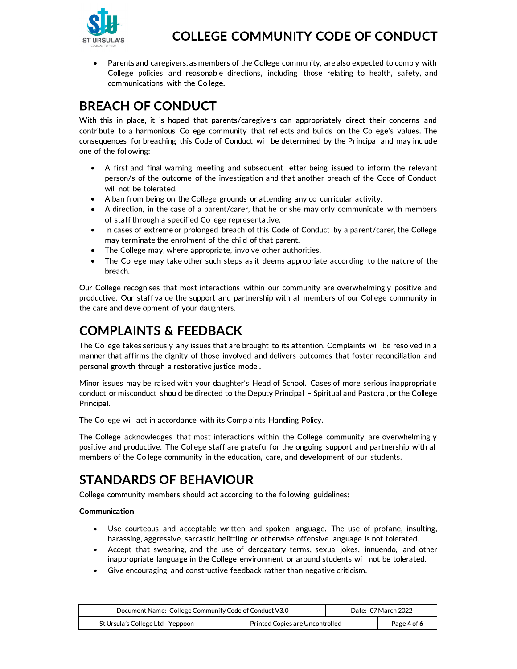

Parents and caregivers, as members of the College community, are also expected to comply with College policies and reasonable directions, including those relating to health, safety, and communications with the College.

### **BREACH OF CONDUCT**

With this in place, it is hoped that parents/caregivers can appropriately direct their concerns and contribute to a harmonious College community that reflects and builds on the College's values. The consequences for breaching this Code of Conduct will be determined by the Principal and may include one of the following:

- A first and final warning meeting and subsequent letter being issued to inform the relevant  $\bullet$ person/s of the outcome of the investigation and that another breach of the Code of Conduct will not be tolerated.
- A ban from being on the College grounds or attending any co-curricular activity.
- A direction, in the case of a parent/carer, that he or she may only communicate with members of staff through a specified College representative.
- In cases of extreme or prolonged breach of this Code of Conduct by a parent/carer, the College  $\bullet$ may terminate the enrolment of the child of that parent.
- The College may, where appropriate, involve other authorities.
- The College may take other such steps as it deems appropriate according to the nature of the breach.

Our College recognises that most interactions within our community are overwhelmingly positive and productive. Our staff value the support and partnership with all members of our College community in the care and development of your daughters.

# **COMPLAINTS & FEEDBACK**

The College takes seriously any issues that are brought to its attention. Complaints will be resolved in a manner that affirms the dignity of those involved and delivers outcomes that foster reconciliation and personal growth through a restorative justice model.

Minor issues may be raised with your daughter's Head of School. Cases of more serious inappropriate conduct or misconduct should be directed to the Deputy Principal - Spiritual and Pastoral, or the College Principal.

The College will act in accordance with its Complaints Handling Policy.

The College acknowledges that most interactions within the College community are overwhelmingly positive and productive. The College staff are grateful for the ongoing support and partnership with all members of the College community in the education, care, and development of our students.

## **STANDARDS OF BEHAVIOUR**

College community members should act according to the following guidelines:

#### Communication

- Use courteous and acceptable written and spoken language. The use of profane, insulting, harassing, aggressive, sarcastic, belittling or otherwise offensive language is not tolerated.
- Accept that swearing, and the use of derogatory terms, sexual jokes, innuendo, and other  $\bullet$ inappropriate language in the College environment or around students will not be tolerated.
- Give encouraging and constructive feedback rather than negative criticism.

| Document Name: College Community Code of Conduct V3.0 |                                 | Date: 07 March 2022 |             |
|-------------------------------------------------------|---------------------------------|---------------------|-------------|
| St Ursula's College Ltd - Yeppoon                     | Printed Copies are Uncontrolled |                     | Page 4 of 6 |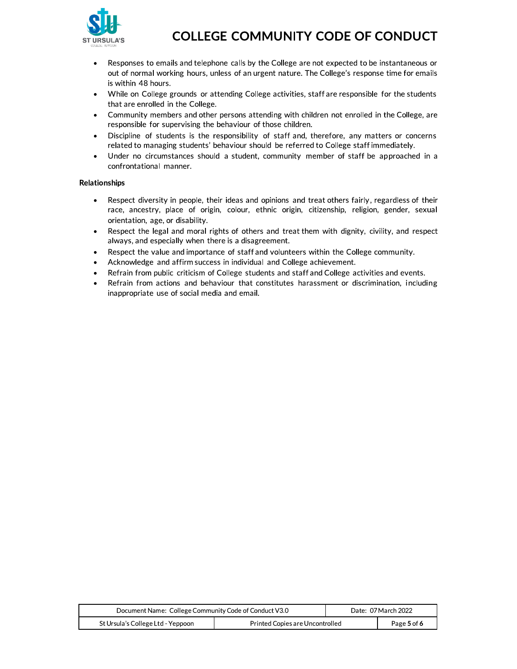

- Responses to emails and telephone calls by the College are not expected to be instantaneous or  $\bullet$ out of normal working hours, unless of an urgent nature. The College's response time for emails is within 48 hours.
- While on College grounds or attending College activities, staff are responsible for the students  $\bullet$ that are enrolled in the College.
- Community members and other persons attending with children not enrolled in the College, are  $\bullet$ responsible for supervising the behaviour of those children.
- Discipline of students is the responsibility of staff and, therefore, any matters or concerns  $\bullet$ related to managing students' behaviour should be referred to College staff immediately.
- Under no circumstances should a student, community member of staff be approached in a  $\bullet$ confrontational manner.

#### **Relationships**

- Respect diversity in people, their ideas and opinions and treat others fairly, regardless of their  $\bullet$ race, ancestry, place of origin, colour, ethnic origin, citizenship, religion, gender, sexual orientation, age, or disability.
- Respect the legal and moral rights of others and treat them with dignity, civility, and respect  $\bullet$ always, and especially when there is a disagreement.
- Respect the value and importance of staff and volunteers within the College community.  $\bullet$
- Acknowledge and affirm success in individual and College achievement.
- Refrain from public criticism of College students and staff and College activities and events.
- Refrain from actions and behaviour that constitutes harassment or discrimination, including inappropriate use of social media and email.

| Document Name: College Community Code of Conduct V3.0 |                                 | Date: 07 March 2022 |             |
|-------------------------------------------------------|---------------------------------|---------------------|-------------|
| St Ursula's College Ltd - Yeppoon                     | Printed Copies are Uncontrolled |                     | Page 5 of 6 |